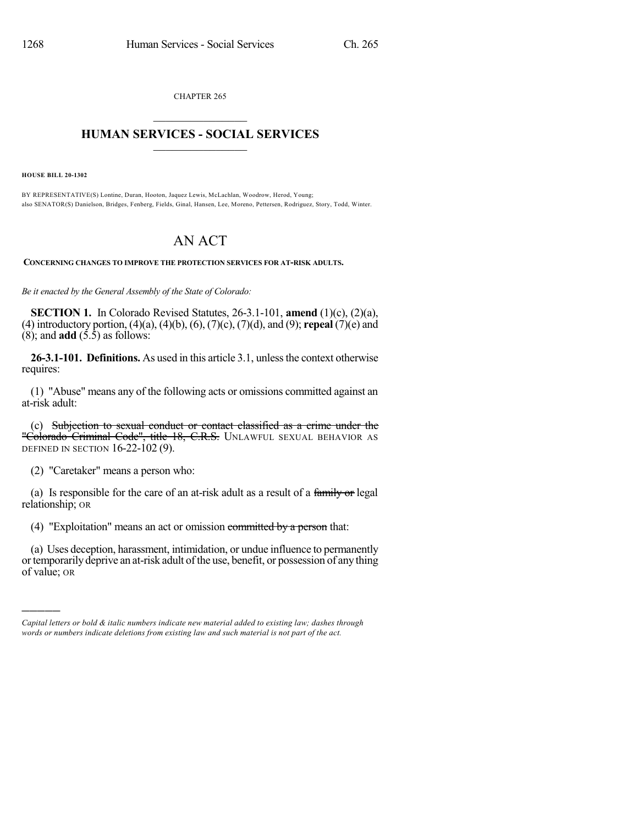CHAPTER 265  $\overline{\phantom{a}}$  . The set of the set of the set of the set of the set of the set of the set of the set of the set of the set of the set of the set of the set of the set of the set of the set of the set of the set of the set o

## **HUMAN SERVICES - SOCIAL SERVICES**  $\frac{1}{2}$  ,  $\frac{1}{2}$  ,  $\frac{1}{2}$  ,  $\frac{1}{2}$  ,  $\frac{1}{2}$  ,  $\frac{1}{2}$  ,  $\frac{1}{2}$

**HOUSE BILL 20-1302**

)))))

BY REPRESENTATIVE(S) Lontine, Duran, Hooton, Jaquez Lewis, McLachlan, Woodrow, Herod, Young; also SENATOR(S) Danielson, Bridges, Fenberg, Fields, Ginal, Hansen, Lee, Moreno, Pettersen, Rodriguez, Story, Todd, Winter.

## AN ACT

**CONCERNING CHANGES TO IMPROVE THE PROTECTION SERVICES FOR AT-RISK ADULTS.**

*Be it enacted by the General Assembly of the State of Colorado:*

**SECTION 1.** In Colorado Revised Statutes, 26-3.1-101, **amend** (1)(c), (2)(a), (4) introductory portion, (4)(a), (4)(b), (6), (7)(c), (7)(d), and (9); **repeal** (7)(e) and  $(8)$ ; and **add**  $(5.\overline{5})$  as follows:

**26-3.1-101. Definitions.** As used in this article 3.1, unless the context otherwise requires:

(1) "Abuse" means any of the following acts or omissions committed against an at-risk adult:

(c) Subjection to sexual conduct or contact classified as a crime under the "Colorado Criminal Code", title 18, C.R.S. UNLAWFUL SEXUAL BEHAVIOR AS DEFINED IN SECTION 16-22-102 (9).

(2) "Caretaker" means a person who:

(a) Is responsible for the care of an at-risk adult as a result of a family or legal relationship; OR

(4) "Exploitation" means an act or omission committed by a person that:

(a) Uses deception, harassment, intimidation, or undue influence to permanently ortemporarily deprive an at-risk adult ofthe use, benefit, or possession of any thing of value; OR

*Capital letters or bold & italic numbers indicate new material added to existing law; dashes through words or numbers indicate deletions from existing law and such material is not part of the act.*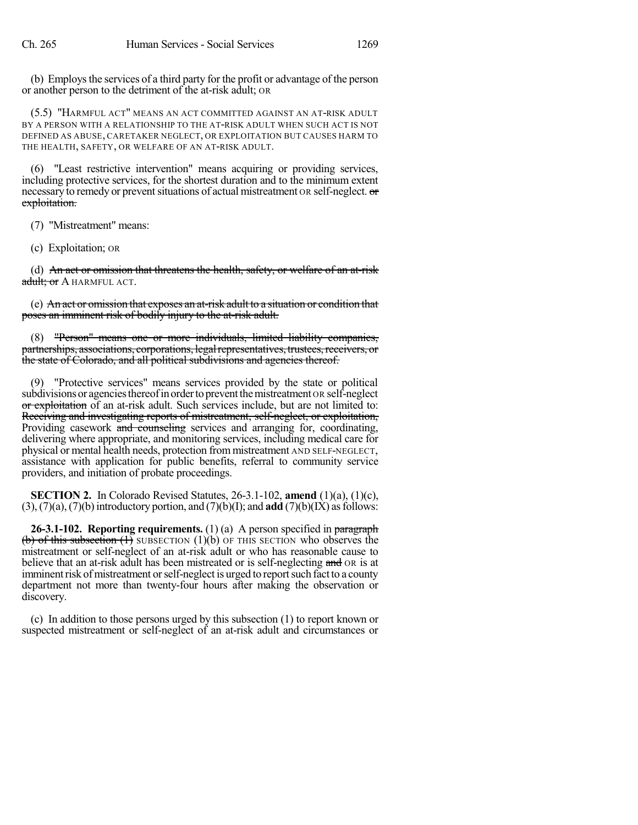(b) Employsthe services of a third party for the profit or advantage of the person or another person to the detriment of the at-risk adult; OR

(5.5) "HARMFUL ACT" MEANS AN ACT COMMITTED AGAINST AN AT-RISK ADULT BY A PERSON WITH A RELATIONSHIP TO THE AT-RISK ADULT WHEN SUCH ACT IS NOT DEFINED AS ABUSE, CARETAKER NEGLECT, OR EXPLOITATION BUT CAUSES HARM TO THE HEALTH, SAFETY, OR WELFARE OF AN AT-RISK ADULT.

(6) "Least restrictive intervention" means acquiring or providing services, including protective services, for the shortest duration and to the minimum extent necessary to remedy or prevent situations of actual mistreatment OR self-neglect. or exploitation.

(7) "Mistreatment" means:

(c) Exploitation; OR

(d) An act or omission that threatens the health, safety, or welfare of an at-risk adult; or A HARMFUL ACT.

(e) An act or omission that exposes an at-risk adult to a situation or condition that poses an imminent risk of bodily injury to the at-risk adult.

(8) "Person" means one or more individuals, limited liability companies, partnerships, associations, corporations, legal representatives, trustees, receivers, or the state of Colorado, and all political subdivisions and agencies thereof.

(9) "Protective services" means services provided by the state or political subdivisions or agencies thereof in order to prevent the mistreatment OR self-neglect or exploitation of an at-risk adult. Such services include, but are not limited to: Receiving and investigating reports of mistreatment, self-neglect, or exploitation, Providing casework and counseling services and arranging for, coordinating, delivering where appropriate, and monitoring services, including medical care for physical or mental health needs, protection from mistreatment AND SELF-NEGLECT, assistance with application for public benefits, referral to community service providers, and initiation of probate proceedings.

**SECTION 2.** In Colorado Revised Statutes, 26-3.1-102, **amend** (1)(a), (1)(c),  $(3)$ ,  $(7)(a)$ ,  $(7)(b)$  introductory portion, and  $(7)(b)(I)$ ; and **add**  $(7)(b)(IX)$  as follows:

**26-3.1-102. Reporting requirements.** (1) (a) A person specified in paragraph (b) of this subsection  $(1)$  SUBSECTION  $(1)(b)$  OF THIS SECTION who observes the mistreatment or self-neglect of an at-risk adult or who has reasonable cause to believe that an at-risk adult has been mistreated or is self-neglecting and OR is at imminent risk of mistreatment or self-neglect is urged to report such fact to a county department not more than twenty-four hours after making the observation or discovery.

(c) In addition to those persons urged by this subsection (1) to report known or suspected mistreatment or self-neglect of an at-risk adult and circumstances or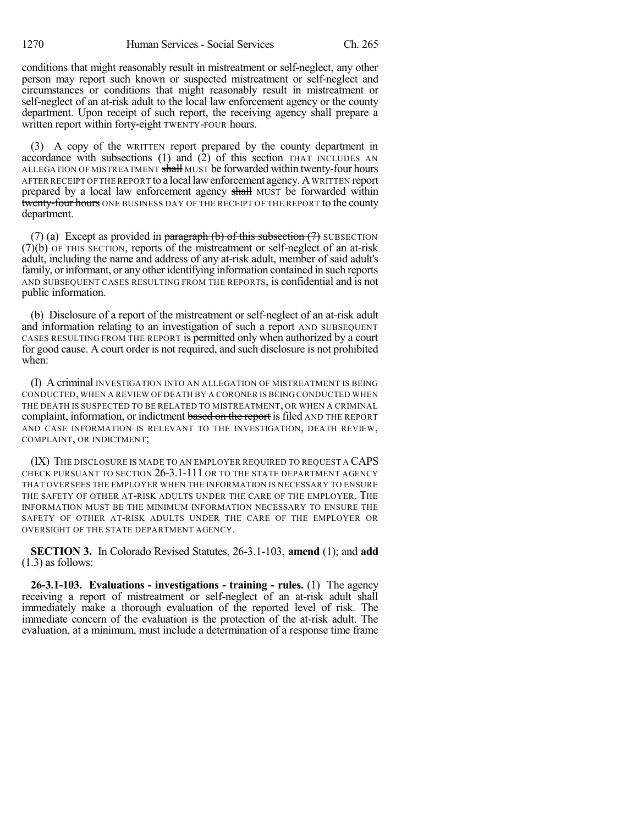conditions that might reasonably result in mistreatment or self-neglect, any other person may report such known or suspected mistreatment or self-neglect and circumstances or conditions that might reasonably result in mistreatment or self-neglect of an at-risk adult to the local law enforcement agency or the county department. Upon receipt of such report, the receiving agency shall prepare a written report within forty-eight TWENTY-FOUR hours.

(3) A copy of the WRITTEN report prepared by the county department in accordance with subsections (1) and (2) of this section THAT INCLUDES AN ALLEGATION OF MISTREATMENT shall MUST be forwarded within twenty-four hours AFTER RECEIPT OFTHE REPORT to a locallawenforcement agency.A WRITTEN report prepared by a local law enforcement agency shall MUST be forwarded within twenty-four hours ONE BUSINESS DAY OF THE RECEIPT OF THE REPORT to the county department.

(7) (a) Except as provided in paragraph (b) of this subsection  $(7)$  SUBSECTION (7)(b) OF THIS SECTION, reports of the mistreatment or self-neglect of an at-risk adult, including the name and address of any at-risk adult, member of said adult's family, or informant, or any other identifying information contained in such reports AND SUBSEQUENT CASES RESULTING FROM THE REPORTS, is confidential and is not public information.

(b) Disclosure of a report of the mistreatment or self-neglect of an at-risk adult and information relating to an investigation of such a report AND SUBSEQUENT CASES RESULTING FROM THE REPORT is permitted only when authorized by a court for good cause. A court order is not required, and such disclosure is not prohibited when:

(I) A criminal INVESTIGATION INTO AN ALLEGATION OF MISTREATMENT IS BEING CONDUCTED, WHEN A REVIEW OF DEATH BY A CORONER IS BEING CONDUCTED WHEN THE DEATH IS SUSPECTED TO BE RELATED TO MISTREATMENT, OR WHEN A CRIMINAL complaint, information, or indictment based on the report is filed AND THE REPORT AND CASE INFORMATION IS RELEVANT TO THE INVESTIGATION, DEATH REVIEW, COMPLAINT, OR INDICTMENT;

(IX) THE DISCLOSURE IS MADE TO AN EMPLOYER REQUIRED TO REQUEST A CAPS CHECK PURSUANT TO SECTION 26-3.1-111 OR TO THE STATE DEPARTMENT AGENCY THAT OVERSEES THE EMPLOYER WHEN THE INFORMATION IS NECESSARY TO ENSURE THE SAFETY OF OTHER AT-RISK ADULTS UNDER THE CARE OF THE EMPLOYER. THE INFORMATION MUST BE THE MINIMUM INFORMATION NECESSARY TO ENSURE THE SAFETY OF OTHER AT-RISK ADULTS UNDER THE CARE OF THE EMPLOYER OR OVERSIGHT OF THE STATE DEPARTMENT AGENCY.

**SECTION 3.** In Colorado Revised Statutes, 26-3.1-103, **amend** (1); and **add** (1.3) as follows:

**26-3.1-103. Evaluations - investigations - training - rules.** (1) The agency receiving a report of mistreatment or self-neglect of an at-risk adult shall immediately make a thorough evaluation of the reported level of risk. The immediate concern of the evaluation is the protection of the at-risk adult. The evaluation, at a minimum, must include a determination of a response time frame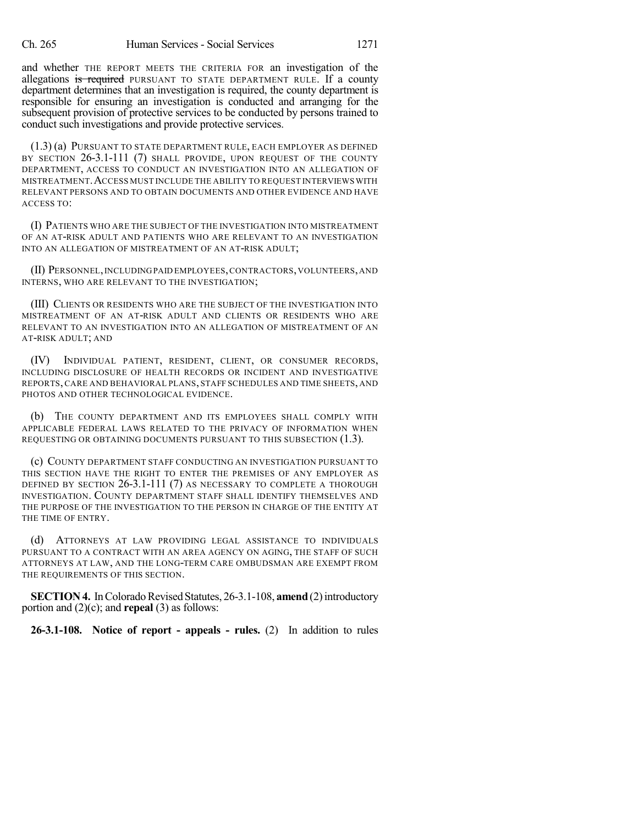and whether THE REPORT MEETS THE CRITERIA FOR an investigation of the allegations is required PURSUANT TO STATE DEPARTMENT RULE. If a county department determines that an investigation is required, the county department is responsible for ensuring an investigation is conducted and arranging for the subsequent provision of protective services to be conducted by persons trained to conduct such investigations and provide protective services.

(1.3) (a) PURSUANT TO STATE DEPARTMENT RULE, EACH EMPLOYER AS DEFINED BY SECTION 26-3.1-111 (7) SHALL PROVIDE, UPON REQUEST OF THE COUNTY DEPARTMENT, ACCESS TO CONDUCT AN INVESTIGATION INTO AN ALLEGATION OF MISTREATMENT.ACCESS MUST INCLUDE THE ABILITY TO REQUEST INTERVIEWSWITH RELEVANT PERSONS AND TO OBTAIN DOCUMENTS AND OTHER EVIDENCE AND HAVE ACCESS TO:

(I) PATIENTS WHO ARE THE SUBJECT OF THE INVESTIGATION INTO MISTREATMENT OF AN AT-RISK ADULT AND PATIENTS WHO ARE RELEVANT TO AN INVESTIGATION INTO AN ALLEGATION OF MISTREATMENT OF AN AT-RISK ADULT;

(II) PERSONNEL,INCLUDINGPAID EMPLOYEES,CONTRACTORS,VOLUNTEERS,AND INTERNS, WHO ARE RELEVANT TO THE INVESTIGATION;

(III) CLIENTS OR RESIDENTS WHO ARE THE SUBJECT OF THE INVESTIGATION INTO MISTREATMENT OF AN AT-RISK ADULT AND CLIENTS OR RESIDENTS WHO ARE RELEVANT TO AN INVESTIGATION INTO AN ALLEGATION OF MISTREATMENT OF AN AT-RISK ADULT; AND

(IV) INDIVIDUAL PATIENT, RESIDENT, CLIENT, OR CONSUMER RECORDS, INCLUDING DISCLOSURE OF HEALTH RECORDS OR INCIDENT AND INVESTIGATIVE REPORTS, CARE AND BEHAVIORAL PLANS, STAFF SCHEDULES AND TIME SHEETS, AND PHOTOS AND OTHER TECHNOLOGICAL EVIDENCE.

(b) THE COUNTY DEPARTMENT AND ITS EMPLOYEES SHALL COMPLY WITH APPLICABLE FEDERAL LAWS RELATED TO THE PRIVACY OF INFORMATION WHEN REQUESTING OR OBTAINING DOCUMENTS PURSUANT TO THIS SUBSECTION (1.3).

(c) COUNTY DEPARTMENT STAFF CONDUCTING AN INVESTIGATION PURSUANT TO THIS SECTION HAVE THE RIGHT TO ENTER THE PREMISES OF ANY EMPLOYER AS DEFINED BY SECTION 26-3.1-111 (7) AS NECESSARY TO COMPLETE A THOROUGH INVESTIGATION. COUNTY DEPARTMENT STAFF SHALL IDENTIFY THEMSELVES AND THE PURPOSE OF THE INVESTIGATION TO THE PERSON IN CHARGE OF THE ENTITY AT THE TIME OF ENTRY.

(d) ATTORNEYS AT LAW PROVIDING LEGAL ASSISTANCE TO INDIVIDUALS PURSUANT TO A CONTRACT WITH AN AREA AGENCY ON AGING, THE STAFF OF SUCH ATTORNEYS AT LAW, AND THE LONG-TERM CARE OMBUDSMAN ARE EXEMPT FROM THE REQUIREMENTS OF THIS SECTION.

**SECTION 4.** In Colorado Revised Statutes, 26-3.1-108, **amend** (2) introductory portion and (2)(c); and **repeal** (3) as follows:

**26-3.1-108. Notice of report - appeals - rules.** (2) In addition to rules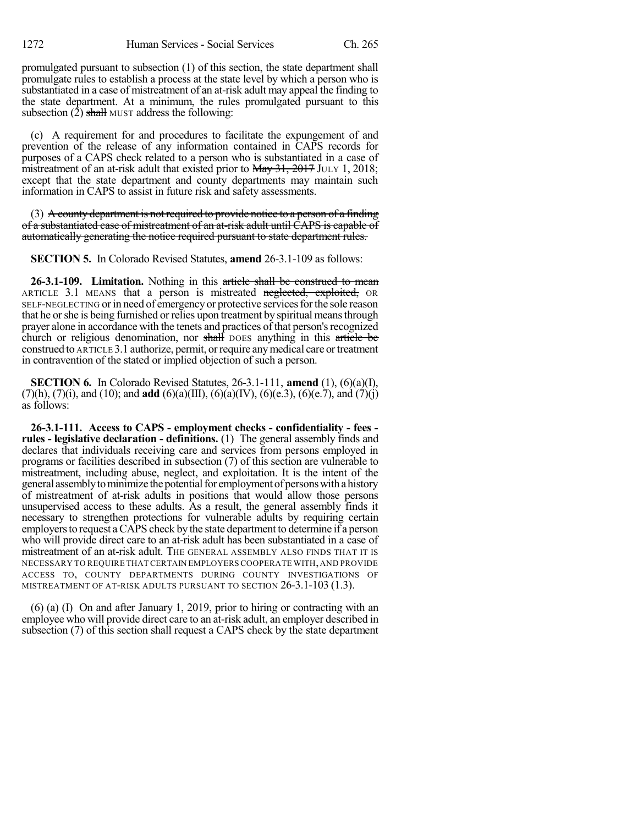promulgated pursuant to subsection (1) of this section, the state department shall promulgate rules to establish a process at the state level by which a person who is substantiated in a case of mistreatment of an at-risk adult may appeal the finding to the state department. At a minimum, the rules promulgated pursuant to this subsection  $(2)$  shall MUST address the following:

(c) A requirement for and procedures to facilitate the expungement of and prevention of the release of any information contained in CAPS records for purposes of a CAPS check related to a person who is substantiated in a case of mistreatment of an at-risk adult that existed prior to May 31, 2017 JULY 1, 2018; except that the state department and county departments may maintain such information in CAPS to assist in future risk and safety assessments.

(3) A county department is not required to provide notice to a person of a finding of a substantiated case of mistreatment of an at-risk adult until CAPS is capable of automatically generating the notice required pursuant to state department rules.

**SECTION 5.** In Colorado Revised Statutes, **amend** 26-3.1-109 as follows:

**26-3.1-109. Limitation.** Nothing in this article shall be construed to mean ARTICLE 3.1 MEANS that a person is mistreated neglected, exploited, OR SELF-NEGLECTING or in need of emergency or protective services for the sole reason that he orshe is being furnished or relies upon treatment by spiritual meansthrough prayer alone in accordance with the tenets and practices of that person's recognized church or religious denomination, nor shall DOES anything in this article be construed to ARTICLE 3.1 authorize, permit, orrequire anymedical care ortreatment in contravention of the stated or implied objection of such a person.

**SECTION 6.** In Colorado Revised Statutes, 26-3.1-111, **amend** (1), (6)(a)(I), (7)(h), (7)(i), and (10); and **add** (6)(a)(III), (6)(a)(IV), (6)(e.3), (6)(e.7), and (7)(j) as follows:

**26-3.1-111. Access to CAPS - employment checks - confidentiality - fees rules - legislative declaration - definitions.** (1) The general assembly finds and declares that individuals receiving care and services from persons employed in programs or facilities described in subsection (7) of this section are vulnerable to mistreatment, including abuse, neglect, and exploitation. It is the intent of the general assembly to minimize the potential for employment of persons with a history of mistreatment of at-risk adults in positions that would allow those persons unsupervised access to these adults. As a result, the general assembly finds it necessary to strengthen protections for vulnerable adults by requiring certain employers to request a CAPS check by the state department to determine if a person who will provide direct care to an at-risk adult has been substantiated in a case of mistreatment of an at-risk adult. THE GENERAL ASSEMBLY ALSO FINDS THAT IT IS NECESSARY TO REQUIRE THAT CERTAIN EMPLOYERSCOOPERATE WITH,AND PROVIDE ACCESS TO, COUNTY DEPARTMENTS DURING COUNTY INVESTIGATIONS OF MISTREATMENT OF AT-RISK ADULTS PURSUANT TO SECTION 26-3.1-103 (1.3).

(6) (a) (I) On and after January 1, 2019, prior to hiring or contracting with an employee who will provide direct care to an at-risk adult, an employer described in subsection (7) of this section shall request a CAPS check by the state department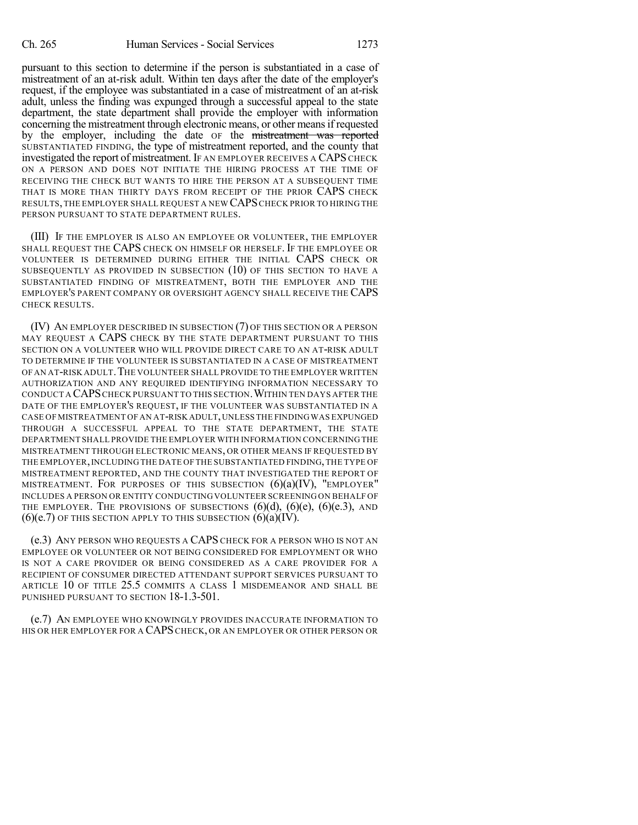pursuant to this section to determine if the person is substantiated in a case of mistreatment of an at-risk adult. Within ten days after the date of the employer's request, if the employee was substantiated in a case of mistreatment of an at-risk adult, unless the finding was expunged through a successful appeal to the state department, the state department shall provide the employer with information concerning the mistreatment through electronic means, or other meansif requested by the employer, including the date OF the mistreatment was reported SUBSTANTIATED FINDING, the type of mistreatment reported, and the county that investigated the report of mistreatment. IF AN EMPLOYER RECEIVES A CAPS CHECK ON A PERSON AND DOES NOT INITIATE THE HIRING PROCESS AT THE TIME OF RECEIVING THE CHECK BUT WANTS TO HIRE THE PERSON AT A SUBSEQUENT TIME THAT IS MORE THAN THIRTY DAYS FROM RECEIPT OF THE PRIOR CAPS CHECK RESULTS,THE EMPLOYER SHALL REQUEST A NEW CAPSCHECK PRIOR TO HIRING THE PERSON PURSUANT TO STATE DEPARTMENT RULES.

(III) IF THE EMPLOYER IS ALSO AN EMPLOYEE OR VOLUNTEER, THE EMPLOYER SHALL REQUEST THE CAPS CHECK ON HIMSELF OR HERSELF. IF THE EMPLOYEE OR VOLUNTEER IS DETERMINED DURING EITHER THE INITIAL CAPS CHECK OR SUBSEQUENTLY AS PROVIDED IN SUBSECTION (10) OF THIS SECTION TO HAVE A SUBSTANTIATED FINDING OF MISTREATMENT, BOTH THE EMPLOYER AND THE EMPLOYER'S PARENT COMPANY OR OVERSIGHT AGENCY SHALL RECEIVE THE CAPS CHECK RESULTS.

(IV) AN EMPLOYER DESCRIBED IN SUBSECTION (7) OF THIS SECTION OR A PERSON MAY REQUEST A CAPS CHECK BY THE STATE DEPARTMENT PURSUANT TO THIS SECTION ON A VOLUNTEER WHO WILL PROVIDE DIRECT CARE TO AN AT-RISK ADULT TO DETERMINE IF THE VOLUNTEER IS SUBSTANTIATED IN A CASE OF MISTREATMENT OF AN AT-RISK ADULT. THE VOLUNTEER SHALL PROVIDE TO THE EMPLOYER WRITTEN AUTHORIZATION AND ANY REQUIRED IDENTIFYING INFORMATION NECESSARY TO CONDUCT A CAPS CHECK PURSUANT TO THIS SECTION. WITHIN TEN DAYS AFTER THE DATE OF THE EMPLOYER'S REQUEST, IF THE VOLUNTEER WAS SUBSTANTIATED IN A CASE OF MISTREATMENT OF AN AT-RISK ADULT,UNLESS THE FINDINGWAS EXPUNGED THROUGH A SUCCESSFUL APPEAL TO THE STATE DEPARTMENT, THE STATE DEPARTMENT SHALL PROVIDE THE EMPLOYER WITH INFORMATION CONCERNING THE MISTREATMENT THROUGH ELECTRONIC MEANS, OR OTHER MEANS IF REQUESTED BY THE EMPLOYER,INCLUDING THE DATE OF THE SUBSTANTIATED FINDING,THE TYPE OF MISTREATMENT REPORTED, AND THE COUNTY THAT INVESTIGATED THE REPORT OF MISTREATMENT. FOR PURPOSES OF THIS SUBSECTION  $(6)(a)(IV)$ , "EMPLOYER" INCLUDES A PERSON OR ENTITY CONDUCTINGVOLUNTEER SCREENING ON BEHALF OF THE EMPLOYER. THE PROVISIONS OF SUBSECTIONS  $(6)(d)$ ,  $(6)(e)$ ,  $(6)(e, 3)$ , AND  $(6)(e.7)$  OF THIS SECTION APPLY TO THIS SUBSECTION  $(6)(a)(IV)$ .

(e.3) ANY PERSON WHO REQUESTS A CAPS CHECK FOR A PERSON WHO IS NOT AN EMPLOYEE OR VOLUNTEER OR NOT BEING CONSIDERED FOR EMPLOYMENT OR WHO IS NOT A CARE PROVIDER OR BEING CONSIDERED AS A CARE PROVIDER FOR A RECIPIENT OF CONSUMER DIRECTED ATTENDANT SUPPORT SERVICES PURSUANT TO ARTICLE 10 OF TITLE 25.5 COMMITS A CLASS 1 MISDEMEANOR AND SHALL BE PUNISHED PURSUANT TO SECTION 18-1.3-501.

(e.7) AN EMPLOYEE WHO KNOWINGLY PROVIDES INACCURATE INFORMATION TO HIS OR HER EMPLOYER FOR A CAPS CHECK, OR AN EMPLOYER OR OTHER PERSON OR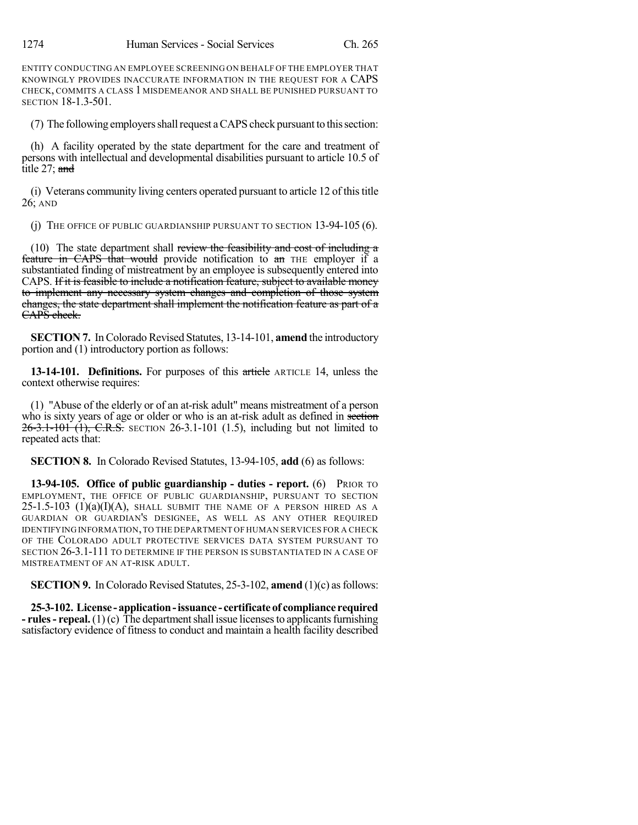ENTITY CONDUCTING AN EMPLOYEE SCREENING ON BEHALF OF THE EMPLOYER THAT KNOWINGLY PROVIDES INACCURATE INFORMATION IN THE REQUEST FOR A CAPS CHECK, COMMITS A CLASS 1 MISDEMEANOR AND SHALL BE PUNISHED PURSUANT TO SECTION 18-1.3-501.

(7) The following employers shall request a CAPS check pursuant to this section:

(h) A facility operated by the state department for the care and treatment of persons with intellectual and developmental disabilities pursuant to article 10.5 of title 27; and

(i) Veterans community living centers operated pursuant to article 12 of thistitle 26; AND

(j) THE OFFICE OF PUBLIC GUARDIANSHIP PURSUANT TO SECTION 13-94-105 (6).

(10) The state department shall review the feasibility and cost of including a feature in CAPS that would provide notification to an THE employer if a substantiated finding of mistreatment by an employee is subsequently entered into CAPS. If it is feasible to include a notification feature, subject to available money to implement any necessary system changes and completion of those system changes, the state department shall implement the notification feature as part of a CAPS check.

**SECTION 7.** In Colorado Revised Statutes, 13-14-101, **amend** the introductory portion and (1) introductory portion as follows:

**13-14-101. Definitions.** For purposes of this article ARTICLE 14, unless the context otherwise requires:

(1) "Abuse of the elderly or of an at-risk adult" means mistreatment of a person who is sixty years of age or older or who is an at-risk adult as defined in section 26-3.1-101 (1), C.R.S. SECTION 26-3.1-101 (1.5), including but not limited to repeated acts that:

**SECTION 8.** In Colorado Revised Statutes, 13-94-105, **add** (6) as follows:

**13-94-105. Office of public guardianship - duties - report.** (6) PRIOR TO EMPLOYMENT, THE OFFICE OF PUBLIC GUARDIANSHIP, PURSUANT TO SECTION  $25$ -1.5-103 (1)(a)(I)(A), SHALL SUBMIT THE NAME OF A PERSON HIRED AS A GUARDIAN OR GUARDIAN'S DESIGNEE, AS WELL AS ANY OTHER REQUIRED IDENTIFYING INFORMATION,TO THE DEPARTMENT OF HUMAN SERVICES FOR A CHECK OF THE COLORADO ADULT PROTECTIVE SERVICES DATA SYSTEM PURSUANT TO SECTION 26-3.1-111 TO DETERMINE IF THE PERSON IS SUBSTANTIATED IN A CASE OF MISTREATMENT OF AN AT-RISK ADULT.

**SECTION 9.** In Colorado Revised Statutes, 25-3-102, **amend** (1)(c) as follows:

**25-3-102. License -application-issuance - certificateof compliance required - rules** - **repeal.** (1)(c) The department shall issue licenses to applicants furnishing satisfactory evidence of fitness to conduct and maintain a health facility described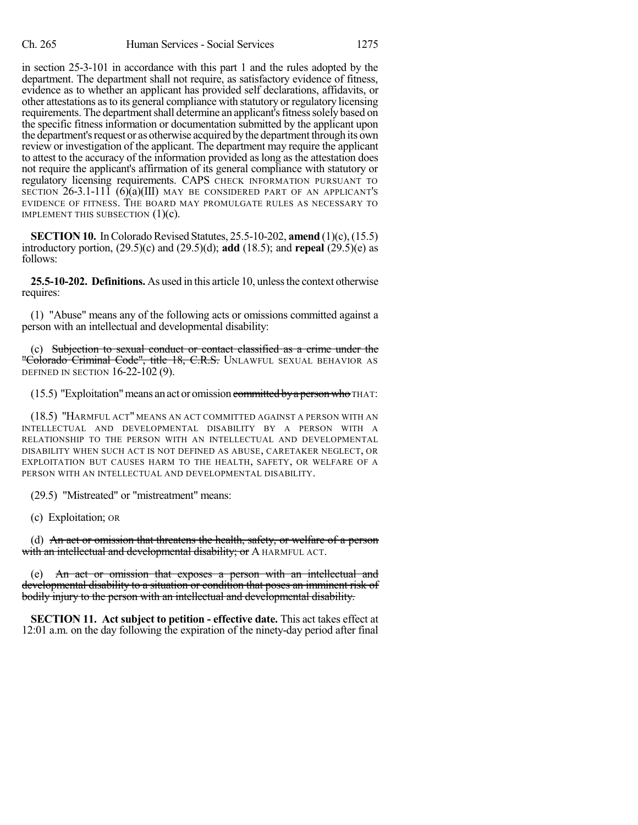in section 25-3-101 in accordance with this part 1 and the rules adopted by the department. The department shall not require, as satisfactory evidence of fitness, evidence as to whether an applicant has provided self declarations, affidavits, or other attestations asto its general compliance with statutory or regulatory licensing requirements. The department shall determine an applicant's fitness solely based on the specific fitness information or documentation submitted by the applicant upon the department's request or as otherwise acquired by the department through its own review or investigation of the applicant. The department may require the applicant to attest to the accuracy of the information provided as long as the attestation does not require the applicant's affirmation of its general compliance with statutory or regulatory licensing requirements. CAPS CHECK INFORMATION PURSUANT TO SECTION 26-3.1-111 (6)(a)(III) MAY BE CONSIDERED PART OF AN APPLICANT'S EVIDENCE OF FITNESS. THE BOARD MAY PROMULGATE RULES AS NECESSARY TO IMPLEMENT THIS SUBSECTION  $(1)(c)$ .

**SECTION 10.** In Colorado Revised Statutes, 25.5-10-202, **amend** (1)(c), (15.5) introductory portion, (29.5)(c) and (29.5)(d); **add** (18.5); and **repeal** (29.5)(e) as follows:

**25.5-10-202. Definitions.** As used in this article 10, unless the context otherwise requires:

(1) "Abuse" means any of the following acts or omissions committed against a person with an intellectual and developmental disability:

(c) Subjection to sexual conduct or contact classified as a crime under the "Colorado Criminal Code", title 18, C.R.S. UNLAWFUL SEXUAL BEHAVIOR AS DEFINED IN SECTION 16-22-102 (9).

(15.5) "Exploitation" means an act or omission committed by a person who THAT:

(18.5) "HARMFUL ACT" MEANS AN ACT COMMITTED AGAINST A PERSON WITH AN INTELLECTUAL AND DEVELOPMENTAL DISABILITY BY A PERSON WITH A RELATIONSHIP TO THE PERSON WITH AN INTELLECTUAL AND DEVELOPMENTAL DISABILITY WHEN SUCH ACT IS NOT DEFINED AS ABUSE, CARETAKER NEGLECT, OR EXPLOITATION BUT CAUSES HARM TO THE HEALTH, SAFETY, OR WELFARE OF A PERSON WITH AN INTELLECTUAL AND DEVELOPMENTAL DISABILITY.

(29.5) "Mistreated" or "mistreatment" means:

(c) Exploitation; OR

(d) An act or omission that threatens the health, safety, or welfare of a person with an intellectual and developmental disability; or A HARMFUL ACT.

(e) An act or omission that exposes a person with an intellectual and developmental disability to a situation or condition that poses an imminent risk of bodily injury to the person with an intellectual and developmental disability.

**SECTION 11. Act subject to petition - effective date.** This act takes effect at 12:01 a.m. on the day following the expiration of the ninety-day period after final